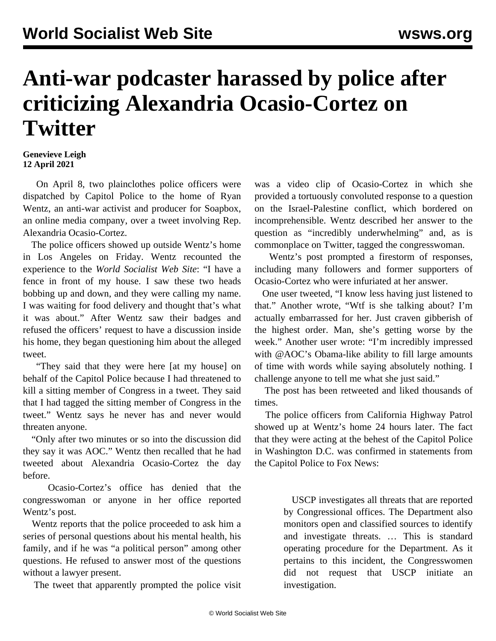## **Anti-war podcaster harassed by police after criticizing Alexandria Ocasio-Cortez on Twitter**

## **Genevieve Leigh 12 April 2021**

 On April 8, two plainclothes police officers were dispatched by Capitol Police to the home of Ryan Wentz, an anti-war activist and producer for Soapbox, an online media company, over a tweet involving Rep. Alexandria Ocasio-Cortez.

 The police officers showed up outside Wentz's home in Los Angeles on Friday. Wentz recounted the experience to the *World Socialist Web Site*: "I have a fence in front of my house. I saw these two heads bobbing up and down, and they were calling my name. I was waiting for food delivery and thought that's what it was about." After Wentz saw their badges and refused the officers' request to have a discussion inside his home, they began questioning him about the alleged tweet.

 "They said that they were here [at my house] on behalf of the Capitol Police because I had threatened to kill a sitting member of Congress in a tweet. They said that I had tagged the sitting member of Congress in the tweet." Wentz says he never has and never would threaten anyone.

 "Only after two minutes or so into the discussion did they say it was AOC." Wentz then recalled that he had tweeted about Alexandria Ocasio-Cortez the day before.

 Ocasio-Cortez's office has denied that the congresswoman or anyone in her office reported Wentz's post.

 Wentz reports that the police proceeded to ask him a series of personal questions about his mental health, his family, and if he was "a political person" among other questions. He refused to answer most of the questions without a lawyer present.

The [tweet](https://twitter.com/queeralamode/status/1379879392642408448?ref_src=twsrc%5Etfw%7Ctwcamp%5Etweetembed%7Ctwterm%5E1379905138601684995%7Ctwgr%5E%7Ctwcon%5Es2_&ref_url=https%3A%2F%2Fthegrayzone.com%2F2021%2F04%2F09%2Fanti-war-activist-police-aoc-video%2F) that apparently prompted the police visit

was a video clip of Ocasio-Cortez in which she provided a tortuously convoluted response to a question on the Israel-Palestine conflict, which bordered on incomprehensible. Wentz described her answer to the question as "incredibly underwhelming" and, as is commonplace on Twitter, tagged the congresswoman.

 Wentz's post prompted a firestorm of responses, including many followers and former supporters of Ocasio-Cortez who were infuriated at her answer.

 One user tweeted, "I know less having just listened to that." Another wrote, "Wtf is she talking about? I'm actually embarrassed for her. Just craven gibberish of the highest order. Man, she's getting worse by the week." Another user wrote: "I'm incredibly impressed with @AOC's Obama-like ability to fill large amounts of time with words while saying absolutely nothing. I challenge anyone to tell me what she just said."

 The post has been retweeted and liked thousands of times.

 The police officers from California Highway Patrol showed up at Wentz's home 24 hours later. The fact that they were acting at the behest of the Capitol Police in Washington D.C. was confirmed in statements from the Capitol Police to Fox News:

> USCP investigates all threats that are reported by Congressional offices. The Department also monitors open and classified sources to identify and investigate threats. … This is standard operating procedure for the Department. As it pertains to this incident, the Congresswomen did not request that USCP initiate an investigation.